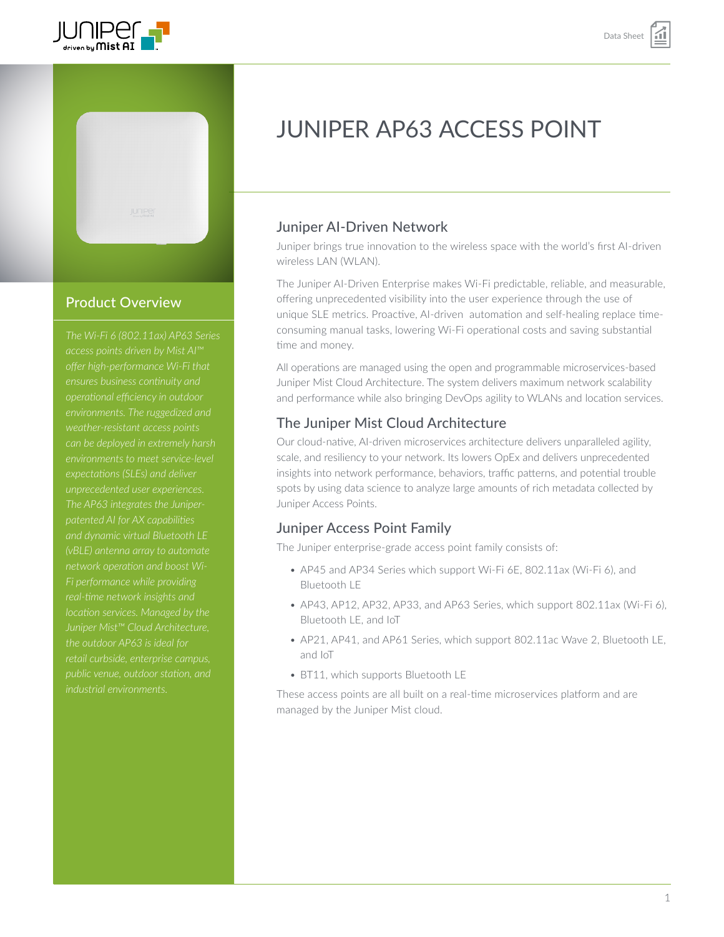



# Product Overview

*The Wi-Fi 6 (802.11ax) AP63 Series weather-resistant access points can be deployed in extremely harsh expectations (SLEs) and deliver The AP63 integrates the Juniperand dynamic virtual Bluetooth LE (vBLE) antenna array to automate Fi performance while providing Juniper Mist™ Cloud Architecture, public venue, outdoor station, and* 

# JUNIPER AP63 ACCESS POINT

# Juniper AI-Driven Network

Juniper brings true innovation to the wireless space with the world's first AI-driven wireless LAN (WLAN).

The Juniper AI-Driven Enterprise makes Wi-Fi predictable, reliable, and measurable, offering unprecedented visibility into the user experience through the use of unique SLE metrics. Proactive, AI-driven automation and self-healing replace timeconsuming manual tasks, lowering Wi-Fi operational costs and saving substantial time and money.

All operations are managed using the open and programmable microservices-based Juniper Mist Cloud Architecture. The system delivers maximum network scalability and performance while also bringing DevOps agility to WLANs and location services.

# The Juniper Mist Cloud Architecture

Our cloud-native, AI-driven microservices architecture delivers unparalleled agility, scale, and resiliency to your network. Its lowers OpEx and delivers unprecedented insights into network performance, behaviors, traffic patterns, and potential trouble spots by using data science to analyze large amounts of rich metadata collected by Juniper Access Points.

# Juniper Access Point Family

The Juniper enterprise-grade access point family consists of:

- AP45 and AP34 Series which support Wi-Fi 6E, 802.11ax (Wi-Fi 6), and Bluetooth LE
- AP43, AP12, AP32, AP33, and AP63 Series, which support 802.11ax (Wi-Fi 6), Bluetooth LE, and IoT
- AP21, AP41, and AP61 Series, which support 802.11ac Wave 2, Bluetooth LE, and IoT
- BT11, which supports Bluetooth LE

These access points are all built on a real-time microservices platform and are managed by the Juniper Mist cloud.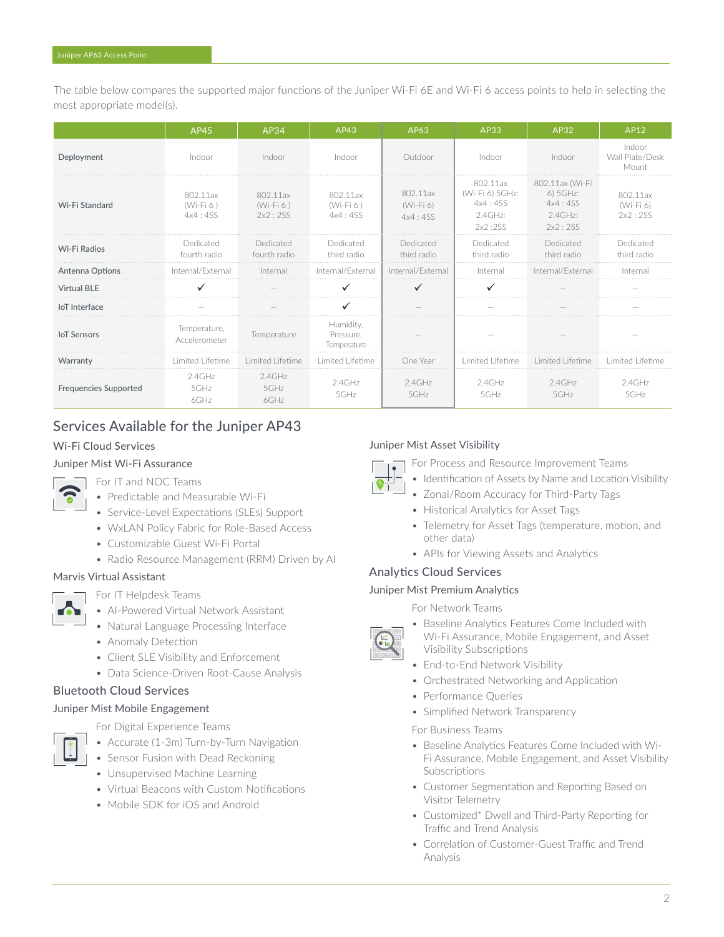The table below compares the supported major functions of the Juniper Wi-Fi 6E and Wi-Fi 6 access points to help in selecting the most appropriate model(s).

|                              | AP45                               | AP34                               | AP43                                  | AP63                               | AP33                                                         | AP32                                                            | AP12                               |
|------------------------------|------------------------------------|------------------------------------|---------------------------------------|------------------------------------|--------------------------------------------------------------|-----------------------------------------------------------------|------------------------------------|
| Deployment                   | Indoor                             | Indoor                             | Indoor                                | Outdoor                            | Indoor                                                       | Indoor                                                          | Indoor<br>Wall Plate/Desk<br>Mount |
| Wi-Fi Standard               | 802.11ax<br>$(Wi-Fi 6)$<br>4x4:4SS | 802.11ax<br>$(Wi-Fi 6)$<br>2x2:2SS | 802.11ax<br>$(Wi-Fi6)$<br>4x4:4SS     | 802.11ax<br>$(Wi-Fi 6)$<br>4x4:4SS | 802.11ax<br>(Wi-Fi 6) 5GHz:<br>4x4:4SS<br>2.4GHz:<br>2x2:2SS | 802.11ax (Wi-Fi<br>6) 5GHz:<br>4x4:4SS<br>$2.4$ GHz:<br>2x2:2SS | 802.11ax<br>(Wi-Fi 6)<br>2x2:2SS   |
| Wi-Fi Radios                 | Dedicated<br>fourth radio          | Dedicated<br>fourth radio          | Dedicated<br>third radio              | Dedicated<br>third radio           | Dedicated<br>third radio                                     | Dedicated<br>third radio                                        | Dedicated<br>third radio           |
| Antenna Options              | Internal/External                  | Internal                           | Internal/External                     | Internal/External                  | Internal                                                     | Internal/External                                               | Interna                            |
| <b>Virtual BLE</b>           |                                    |                                    |                                       |                                    |                                                              |                                                                 |                                    |
| loT Interface                |                                    |                                    |                                       |                                    |                                                              |                                                                 |                                    |
| <b>IoT</b> Sensors           | Temperature,<br>Accelerometer      | Temperature                        | Humidity,<br>Pressure,<br>Temperature |                                    |                                                              |                                                                 |                                    |
| Warranty                     | Limited Lifetime                   | Limited Lifetime                   | Limited Lifetime                      | One Year                           | Limited Lifetime                                             | Limited Lifetime                                                | Limited Lifetime                   |
| <b>Frequencies Supported</b> | $2.4$ GHz<br>$5$ GHz<br>$6$ GHz    | $2.4$ GHz<br>$5$ GHz<br>6GHz       | $2.4$ GHz<br>5GHz                     | $2.4$ GHz<br>5GHz                  | $2.4$ GHz<br>$5$ GHz                                         | $2.4$ GHz<br>$5$ GHz                                            | $2.4$ GHz<br>5GHz                  |

# Services Available for the Juniper AP43

### Wi-Fi Cloud Services

### Juniper Mist Wi-Fi Assurance

For IT and NOC Teams

- Predictable and Measurable Wi-Fi
- Service-Level Expectations (SLEs) Support
- WxLAN Policy Fabric for Role-Based Access
- Customizable Guest Wi-Fi Portal
- Radio Resource Management (RRM) Driven by AI

#### Marvis Virtual Assistant



For IT Helpdesk Teams

- AI-Powered Virtual Network Assistant
- Natural Language Processing Interface
- Anomaly Detection
- Client SLE Visibility and Enforcement
- Data Science-Driven Root-Cause Analysis

### Bluetooth Cloud Services

### Juniper Mist Mobile Engagement



For Digital Experience Teams

- Accurate (1-3m) Turn-by-Turn Navigation
- Sensor Fusion with Dead Reckoning
- Unsupervised Machine Learning
- Virtual Beacons with Custom Notifications
- Mobile SDK for iOS and Android

### Juniper Mist Asset Visibility

For Process and Resource Improvement Teams

- Identification of Assets by Name and Location Visibility
- Zonal/Room Accuracy for Third-Party Tags
- Historical Analytics for Asset Tags
- Telemetry for Asset Tags (temperature, motion, and other data)
- APIs for Viewing Assets and Analytics

### Analytics Cloud Services

### Juniper Mist Premium Analytics

For Network Teams

- Baseline Analytics Features Come Included with Wi-Fi Assurance, Mobile Engagement, and Asset Visibility Subscriptions
- End-to-End Network Visibility
- Orchestrated Networking and Application
- Performance Queries
- Simplified Network Transparency

#### For Business Teams

- Baseline Analytics Features Come Included with Wi-Fi Assurance, Mobile Engagement, and Asset Visibility **Subscriptions**
- Customer Segmentation and Reporting Based on Visitor Telemetry
- Customized\* Dwell and Third-Party Reporting for Traffic and Trend Analysis
- Correlation of Customer-Guest Traffic and Trend Analysis

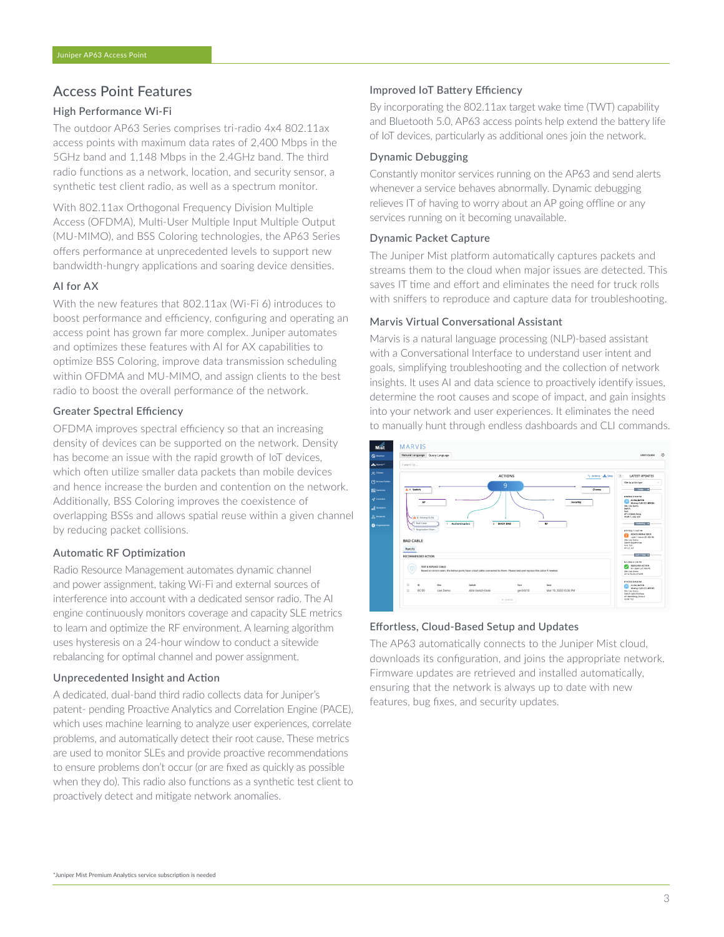### Access Point Features

#### High Performance Wi-Fi

The outdoor AP63 Series comprises tri-radio 4x4 802.11ax access points with maximum data rates of 2,400 Mbps in the 5GHz band and 1,148 Mbps in the 2.4GHz band. The third radio functions as a network, location, and security sensor, a synthetic test client radio, as well as a spectrum monitor.

With 802.11ax Orthogonal Frequency Division Multiple Access (OFDMA), Multi-User Multiple Input Multiple Output (MU-MIMO), and BSS Coloring technologies, the AP63 Series offers performance at unprecedented levels to support new bandwidth-hungry applications and soaring device densities.

#### AI for AX

With the new features that 802.11ax (Wi-Fi 6) introduces to boost performance and efficiency, configuring and operating an access point has grown far more complex. Juniper automates and optimizes these features with AI for AX capabilities to optimize BSS Coloring, improve data transmission scheduling within OFDMA and MU-MIMO, and assign clients to the best radio to boost the overall performance of the network.

#### Greater Spectral Efficiency

OFDMA improves spectral efficiency so that an increasing density of devices can be supported on the network. Density has become an issue with the rapid growth of IoT devices, which often utilize smaller data packets than mobile devices and hence increase the burden and contention on the network. Additionally, BSS Coloring improves the coexistence of overlapping BSSs and allows spatial reuse within a given channel by reducing packet collisions.

#### Automatic RF Optimization

Radio Resource Management automates dynamic channel and power assignment, taking Wi-Fi and external sources of interference into account with a dedicated sensor radio. The AI engine continuously monitors coverage and capacity SLE metrics to learn and optimize the RF environment. A learning algorithm uses hysteresis on a 24-hour window to conduct a sitewide rebalancing for optimal channel and power assignment.

#### Unprecedented Insight and Action

A dedicated, dual-band third radio collects data for Juniper's patent- pending Proactive Analytics and Correlation Engine (PACE), which uses machine learning to analyze user experiences, correlate problems, and automatically detect their root cause. These metrics are used to monitor SLEs and provide proactive recommendations to ensure problems don't occur (or are fixed as quickly as possible when they do). This radio also functions as a synthetic test client to proactively detect and mitigate network anomalies.

#### Improved IoT Battery Efficiency

By incorporating the 802.11ax target wake time (TWT) capability and Bluetooth 5.0, AP63 access points help extend the battery life of IoT devices, particularly as additional ones join the network.

#### Dynamic Debugging

Constantly monitor services running on the AP63 and send alerts whenever a service behaves abnormally. Dynamic debugging relieves IT of having to worry about an AP going offline or any services running on it becoming unavailable.

#### Dynamic Packet Capture

The Juniper Mist platform automatically captures packets and streams them to the cloud when major issues are detected. This saves IT time and effort and eliminates the need for truck rolls with sniffers to reproduce and capture data for troubleshooting.

#### Marvis Virtual Conversational Assistant

Marvis is a natural language processing (NLP)-based assistant with a Conversational Interface to understand user intent and goals, simplifying troubleshooting and the collection of network insights. It uses AI and data science to proactively identify issues, determine the root causes and scope of impact, and gain insights into your network and user experiences. It eliminates the need to manually hunt through endless dashboards and CLI commands.



#### Effortless, Cloud-Based Setup and Updates

The AP63 automatically connects to the Juniper Mist cloud, downloads its configuration, and joins the appropriate network. Firmware updates are retrieved and installed automatically, ensuring that the network is always up to date with new features, bug fixes, and security updates.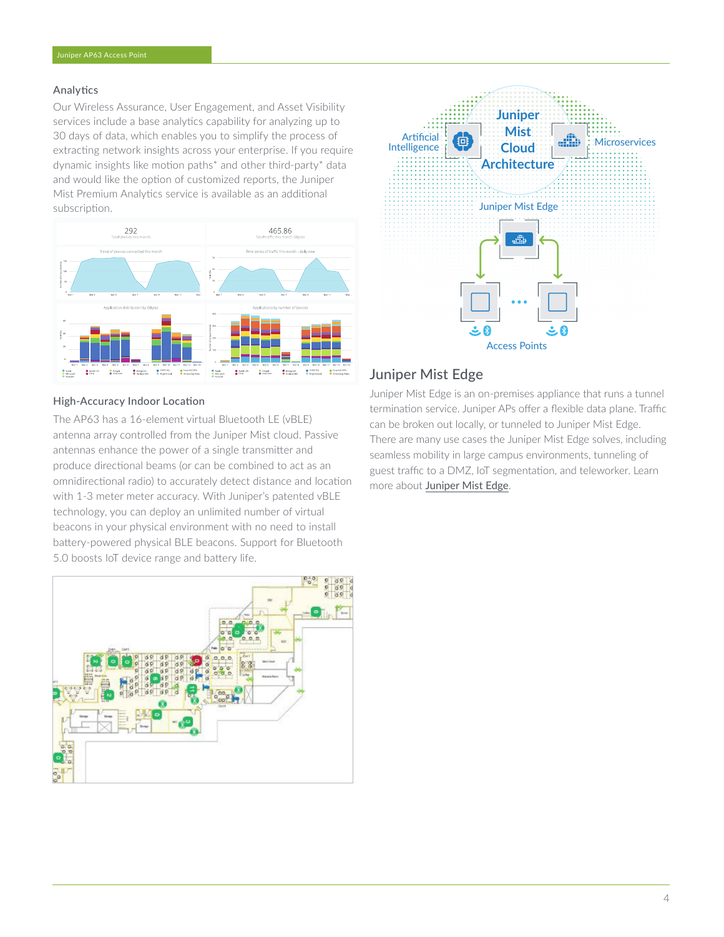### Analytics

Our Wireless Assurance, User Engagement, and Asset Visibility services include a base analytics capability for analyzing up to 30 days of data, which enables you to simplify the process of extracting network insights across your enterprise. If you require dynamic insights like motion paths\* and other third-party\* data and would like the option of customized reports, the Juniper Mist Premium Analytics service is available as an additional subscription.



#### High-Accuracy Indoor Location

The AP63 has a 16-element virtual Bluetooth LE (vBLE) antenna array controlled from the Juniper Mist cloud. Passive antennas enhance the power of a single transmitter and produce directional beams (or can be combined to act as an omnidirectional radio) to accurately detect distance and location with 1-3 meter meter accuracy. With Juniper's patented vBLE technology, you can deploy an unlimited number of virtual beacons in your physical environment with no need to install battery-powered physical BLE beacons. Support for Bluetooth 5.0 boosts IoT device range and battery life.





### Juniper Mist Edge

Juniper Mist Edge is an on-premises appliance that runs a tunnel termination service. Juniper APs offer a flexible data plane. Traffic can be broken out locally, or tunneled to Juniper Mist Edge. There are many use cases the Juniper Mist Edge solves, including seamless mobility in large campus environments, tunneling of guest traffic to a DMZ, IoT segmentation, and teleworker. Learn more about [Juniper Mist Edge](https://www.juniper.net/us/en/products/access-points/edge.html).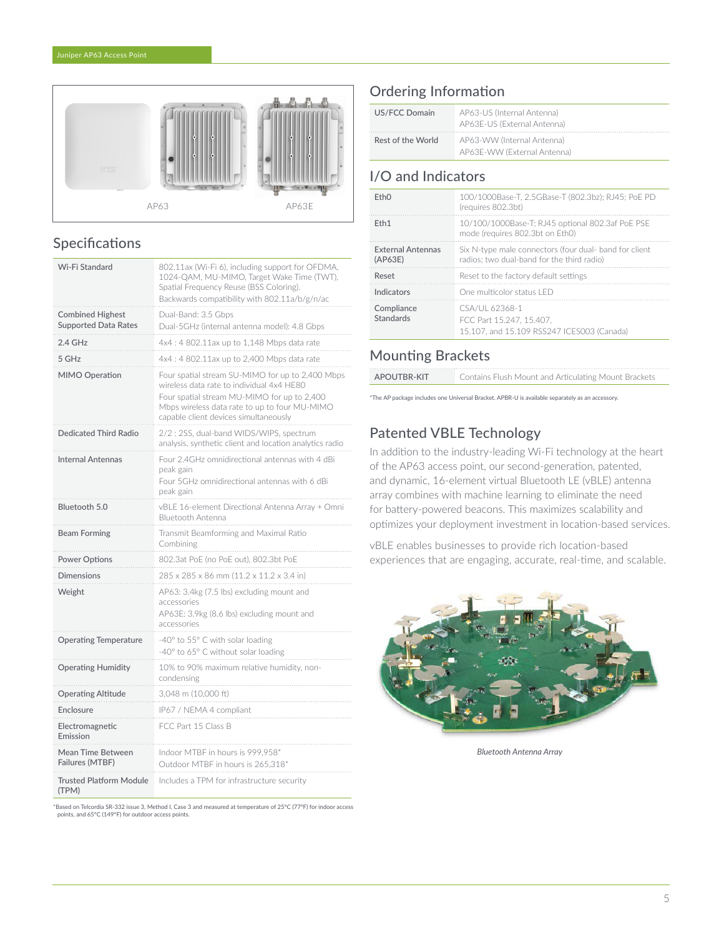

# Specifications

| Wi-Fi Standard                                         | 802.11ax (Wi-Fi 6), including support for OFDMA,<br>1024-QAM, MU-MIMO, Target Wake Time (TWT),<br>Spatial Frequency Reuse (BSS Coloring).<br>Backwards compatibility with 802.11a/b/g/n/ac                                             |
|--------------------------------------------------------|----------------------------------------------------------------------------------------------------------------------------------------------------------------------------------------------------------------------------------------|
| <b>Combined Highest</b><br><b>Supported Data Rates</b> | Dual-Band: 3.5 Gbps<br>Dual-5GHz (internal antenna model): 4.8 Gbps                                                                                                                                                                    |
| $2.4$ GHz                                              | 4x4: 4802.11ax up to 1,148 Mbps data rate                                                                                                                                                                                              |
| 5 GHz                                                  | 4x4 : 4 802.11ax up to 2,400 Mbps data rate                                                                                                                                                                                            |
| MIMO Operation                                         | Four spatial stream SU-MIMO for up to 2,400 Mbps<br>wireless data rate to individual 4x4 HE80<br>Four spatial stream MU-MIMO for up to 2,400<br>Mbps wireless data rate to up to four MU-MIMO<br>capable client devices simultaneously |
| Dedicated Third Radio                                  | 2/2: 2SS, dual-band WIDS/WIPS, spectrum<br>analysis, synthetic client and location analytics radio                                                                                                                                     |
| <b>Internal Antennas</b>                               | Four 2.4GHz omnidirectional antennas with 4 dBi<br>peak gain<br>Four 5GHz omnidirectional antennas with 6 dBi<br>peak gain                                                                                                             |
| Bluetooth 5.0                                          | vBLE 16-element Directional Antenna Array + Omni<br>Bluetooth Antenna                                                                                                                                                                  |
| <b>Beam Forming</b>                                    | Transmit Beamforming and Maximal Ratio<br>Combining                                                                                                                                                                                    |
| <b>Power Options</b>                                   | 802.3at PoE (no PoE out), 802.3bt PoE                                                                                                                                                                                                  |
| <b>Dimensions</b>                                      | 285 x 285 x 86 mm (11.2 x 11.2 x 3.4 in)                                                                                                                                                                                               |
| Weight                                                 | AP63: 3.4kg (7.5 lbs) excluding mount and<br>accessories                                                                                                                                                                               |
|                                                        | AP63E: 3.9kg (8.6 lbs) excluding mount and<br>accessories                                                                                                                                                                              |
| <b>Operating Temperature</b>                           | -40° to 55° C with solar loading<br>-40° to 65° C without solar loading                                                                                                                                                                |
| <b>Operating Humidity</b>                              | 10% to 90% maximum relative humidity, non-<br>condensing                                                                                                                                                                               |
| <b>Operating Altitude</b>                              | 3,048 m (10,000 ft)                                                                                                                                                                                                                    |
| Enclosure                                              | IP67 / NEMA 4 compliant                                                                                                                                                                                                                |
| Electromagnetic<br>Emission                            | FCC Part 15 Class B                                                                                                                                                                                                                    |
| Mean Time Between<br>Failures (MTBF)                   | Indoor MTBF in hours is 999.958*<br>Outdoor MTBF in hours is 265,318*                                                                                                                                                                  |

\*Based on Telcordia SR-332 issue 3, Method I, Case 3 and measured at temperature of 25°C (77°F) for indoor access points, and 65°C (149°F) for outdoor access points.

# Ordering Information

| US/FCC Domain     | AP63-US (Internal Antenna)<br>AP63E-US (External Antenna) |
|-------------------|-----------------------------------------------------------|
| Rest of the World | AP63-WW (Internal Antenna)<br>AP63E-WW (External Antenna) |

# I/O and Indicators

| FthO                                | 100/1000Base-T, 2.5GBase-T (802.3bz); RJ45; PoE PD<br>(requires 802.3bt)                             |  |
|-------------------------------------|------------------------------------------------------------------------------------------------------|--|
| F <sub>th</sub> 1                   | 10/100/1000Base-T: RJ45 optional 802.3af PoE PSE<br>mode (requires 802.3bt on Eth0)                  |  |
| <b>External Antennas</b><br>(AP63E) | Six N-type male connectors (four dual- band for client<br>radios: two dual-band for the third radio) |  |
| Reset                               | Reset to the factory default settings                                                                |  |
| Indicators                          | One multicolor status LED                                                                            |  |
| Compliance<br>Standards             | CSA/UL 62368-1<br>FCC Part 15.247, 15.407.<br>15.107, and 15.109 RSS247 ICES003 (Canada)             |  |

# Mounting Brackets

| APOUTBR-KIT | Contains Flush Mount and Articulating Mount Brackets |
|-------------|------------------------------------------------------|
|             |                                                      |

\*The AP package includes one Universal Bracket. APBR-U is available separately as an accessory.

# Patented VBLE Technology

In addition to the industry-leading Wi-Fi technology at the heart of the AP63 access point, our second-generation, patented, and dynamic, 16-element virtual Bluetooth LE (vBLE) antenna array combines with machine learning to eliminate the need for battery-powered beacons. This maximizes scalability and optimizes your deployment investment in location-based services.

vBLE enables businesses to provide rich location-based experiences that are engaging, accurate, real-time, and scalable.



*Bluetooth Antenna Array*